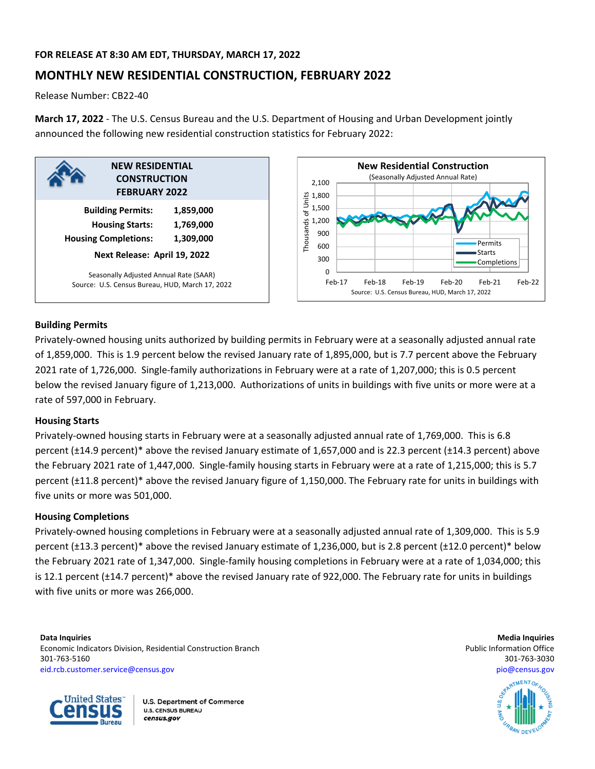# **FOR RELEASE AT 8:30 AM EDT, THURSDAY, MARCH 17, 2022**

# **MONTHLY NEW RESIDENTIAL CONSTRUCTION, FEBRUARY 2022**

Release Number: CB22‐40

**March 17, 2022** ‐ The U.S. Census Bureau and the U.S. Department of Housing and Urban Development jointly announced the following new residential construction statistics for February 2022:





# **Building Permits**

Privately‐owned housing units authorized by building permits in February were at a seasonally adjusted annual rate of 1,859,000. This is 1.9 percent below the revised January rate of 1,895,000, but is 7.7 percent above the February 2021 rate of 1,726,000. Single‐family authorizations in February were at a rate of 1,207,000; this is 0.5 percent below the revised January figure of 1,213,000. Authorizations of units in buildings with five units or more were at a rate of 597,000 in February.

# **Housing Starts**

Privately‐owned housing starts in February were at a seasonally adjusted annual rate of 1,769,000. This is 6.8 percent (±14.9 percent)\* above the revised January estimate of 1,657,000 and is 22.3 percent (±14.3 percent) above the February 2021 rate of 1,447,000. Single‐family housing starts in February were at a rate of 1,215,000; this is 5.7 percent (±11.8 percent)\* above the revised January figure of 1,150,000. The February rate for units in buildings with five units or more was 501,000.

# **Housing Completions**

Privately‐owned housing completions in February were at a seasonally adjusted annual rate of 1,309,000. This is 5.9 percent (±13.3 percent)\* above the revised January estimate of 1,236,000, but is 2.8 percent (±12.0 percent)\* below the February 2021 rate of 1,347,000. Single‐family housing completions in February were at a rate of 1,034,000; this is 12.1 percent (±14.7 percent)\* above the revised January rate of 922,000. The February rate for units in buildings with five units or more was 266,000.

**Data Inquiries Media Inquiries** Economic Indicators Division, Residential Construction Branch **Public Information Construction Branch** Public Information Office 301‐763‐5160 301‐763‐3030 eid.rcb.customer.service@census.gov pio@census.gov



**U.S. Department of Commerce U.S. CENSUS BUREAU** census.gov

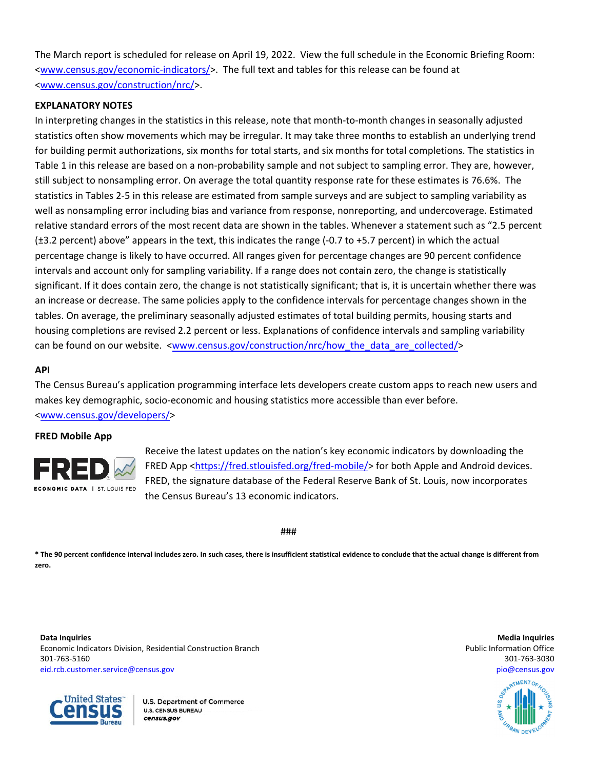The March report is scheduled for release on April 19, 2022. View the full schedule in the Economic Briefing Room: <www.census.gov/economic‐indicators/>. The full text and tables for this release can be found at <www.census.gov/construction/nrc/>.

# **EXPLANATORY NOTES**

In interpreting changes in the statistics in this release, note that month‐to‐month changes in seasonally adjusted statistics often show movements which may be irregular. It may take three months to establish an underlying trend for building permit authorizations, six months for total starts, and six months for total completions. The statistics in Table 1 in this release are based on a non-probability sample and not subject to sampling error. They are, however, still subject to nonsampling error. On average the total quantity response rate for these estimates is 76.6%. The statistics in Tables 2‐5 in this release are estimated from sample surveys and are subject to sampling variability as well as nonsampling error including bias and variance from response, nonreporting, and undercoverage. Estimated relative standard errors of the most recent data are shown in the tables. Whenever a statement such as "2.5 percent (±3.2 percent) above" appears in the text, this indicates the range (‐0.7 to +5.7 percent) in which the actual percentage change is likely to have occurred. All ranges given for percentage changes are 90 percent confidence intervals and account only for sampling variability. If a range does not contain zero, the change is statistically significant. If it does contain zero, the change is not statistically significant; that is, it is uncertain whether there was an increase or decrease. The same policies apply to the confidence intervals for percentage changes shown in the tables. On average, the preliminary seasonally adjusted estimates of total building permits, housing starts and housing completions are revised 2.2 percent or less. Explanations of confidence intervals and sampling variability can be found on our website. <www.census.gov/construction/nrc/how\_the\_data\_are\_collected/>

# **API**

The Census Bureau's application programming interface lets developers create custom apps to reach new users and makes key demographic, socio‐economic and housing statistics more accessible than ever before. <www.census.gov/developers/>

# **FRED Mobile App**



Receive the latest updates on the nation's key economic indicators by downloading the FRED App <https://fred.stlouisfed.org/fred-mobile/> for both Apple and Android devices. FRED, the signature database of the Federal Reserve Bank of St. Louis, now incorporates the Census Bureau's 13 economic indicators.

###

\* The 90 percent confidence interval includes zero. In such cases, there is insufficient statistical evidence to conclude that the actual change is different from **zero.**

**Data Inquiries Media Inquiries** Economic Indicators Division, Residential Construction Branch **Public Information Construction Branch** Public Information Office 301‐763‐5160 301‐763‐3030 eid.rcb.customer.service@census.gov pio@census.gov



**U.S. Department of Commerce U.S. CENSUS BUREAU** census.gov

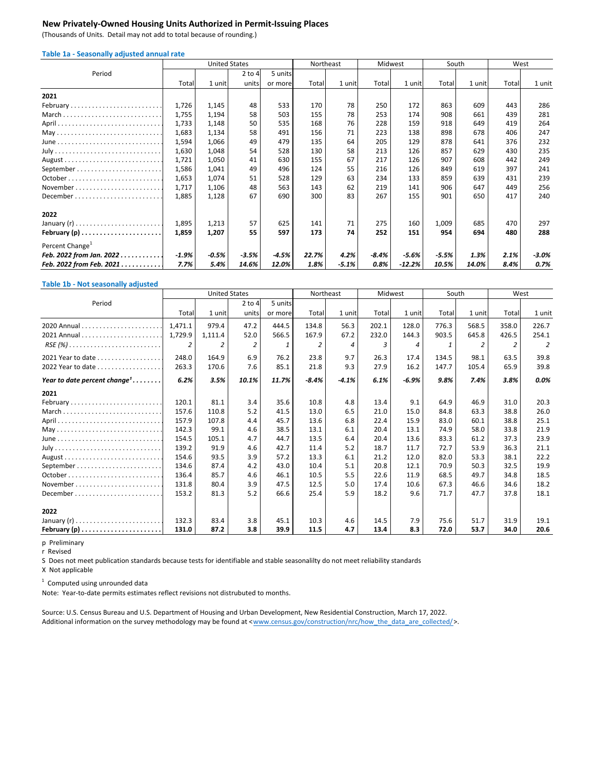### **New Privately‐Owned Housing Units Authorized in Permit‐Issuing Places**

(Thousands of Units. Detail may not add to total because of rounding.)

| Table 1a - Seasonally adjusted annual rate |  |  |  |
|--------------------------------------------|--|--|--|
|--------------------------------------------|--|--|--|

|                                                            |         | <b>United States</b> |            |         | Northeast |         | Midwest |         | South   |        | West  |        |
|------------------------------------------------------------|---------|----------------------|------------|---------|-----------|---------|---------|---------|---------|--------|-------|--------|
| Period                                                     |         |                      | $2$ to $4$ | 5 units |           |         |         |         |         |        |       |        |
|                                                            | Total   | 1 unit               | units      | or more | Total     | 1 unit  | Total   | 1 unit  | Total   | 1 unit | Total | 1 unit |
| 2021                                                       |         |                      |            |         |           |         |         |         |         |        |       |        |
| February                                                   | 1,726   | 1,145                | 48         | 533     | 170       | 78      | 250     | 172     | 863     | 609    | 443   | 286    |
| March                                                      | 1,755   | 1,194                | 58         | 503     | 155       | 78      | 253     | 174     | 908     | 661    | 439   | 281    |
|                                                            | 1,733   | 1,148                | 50         | 535     | 168       | 76      | 228     | 159     | 918     | 649    | 419   | 264    |
|                                                            | 1,683   | 1,134                | 58         | 491     | 156       | 71      | 223     | 138     | 898     | 678    | 406   | 247    |
|                                                            | 1,594   | 1,066                | 49         | 479     | 135       | 64      | 205     | 129     | 878     | 641    | 376   | 232    |
|                                                            | 1,630   | 1,048                | 54         | 528     | 130       | 58      | 213     | 126     | 857     | 629    | 430   | 235    |
|                                                            | 1,721   | 1,050                | 41         | 630     | 155       | 67      | 217     | 126     | 907     | 608    | 442   | 249    |
|                                                            | 1,586   | 1,041                | 49         | 496     | 124       | 55      | 216     | 126     | 849     | 619    | 397   | 241    |
|                                                            | 1,653   | 1,074                | 51         | 528     | 129       | 63      | 234     | 133     | 859     | 639    | 431   | 239    |
|                                                            | 1,717   | 1,106                | 48         | 563     | 143       | 62      | 219     | 141     | 906     | 647    | 449   | 256    |
| $December \dots \dots \dots \dots \dots \dots \dots \dots$ | 1,885   | 1,128                | 67         | 690     | 300       | 83      | 267     | 155     | 901     | 650    | 417   | 240    |
| 2022                                                       |         |                      |            |         |           |         |         |         |         |        |       |        |
|                                                            | 1,895   | 1,213                | 57         | 625     | 141       | 71      | 275     | 160     | 1,009   | 685    | 470   | 297    |
| February $(p)$                                             | 1,859   | 1,207                | 55         | 597     | 173       | 74      | 252     | 151     | 954     | 694    | 480   | 288    |
| Percent Change <sup>1</sup>                                |         |                      |            |         |           |         |         |         |         |        |       |        |
| Feb. 2022 from Jan. 2022                                   | $-1.9%$ | $-0.5%$              | $-3.5%$    | -4.5%   | 22.7%     | 4.2%    | $-8.4%$ | $-5.6%$ | $-5.5%$ | 1.3%   | 2.1%  | -3.0%  |
| Feb. 2022 from Feb. 2021                                   | 7.7%    | 5.4%                 | 14.6%      | 12.0%   | 1.8%      | $-5.1%$ | 0.8%    | -12.2%  | 10.5%   | 14.0%  | 8.4%  | 0.7%   |

#### **Table 1b ‐ Not seasonally adjusted**

|                                                                         |         | <b>United States</b> |                |         | Northeast |         | Midwest |         | South |        | West  |        |
|-------------------------------------------------------------------------|---------|----------------------|----------------|---------|-----------|---------|---------|---------|-------|--------|-------|--------|
| Period                                                                  |         |                      | $2$ to 4       | 5 units |           |         |         |         |       |        |       |        |
|                                                                         | Total   | 1 unit               | units          | or more | Total     | 1 unit  | Total   | 1 unit  | Total | 1 unit | Total | 1 unit |
|                                                                         | 1,471.1 | 979.4                | 47.2           | 444.5   | 134.8     | 56.3    | 202.1   | 128.0   | 776.3 | 568.5  | 358.0 | 226.7  |
|                                                                         | 1,729.9 | 1,111.4              | 52.0           | 566.5   | 167.9     | 67.2    | 232.0   | 144.3   | 903.5 | 645.8  | 426.5 | 254.1  |
| $RSE(%) \ldots \ldots \ldots \ldots \ldots \ldots \ldots \ldots \ldots$ | 2       | 2                    | $\overline{2}$ |         |           | 4       | 3       | 4       |       | 2      | 2     | 2      |
| 2021 Year to date                                                       | 248.0   | 164.9                | 6.9            | 76.2    | 23.8      | 9.7     | 26.3    | 17.4    | 134.5 | 98.1   | 63.5  | 39.8   |
| 2022 Year to date                                                       | 263.3   | 170.6                | 7.6            | 85.1    | 21.8      | 9.3     | 27.9    | 16.2    | 147.7 | 105.4  | 65.9  | 39.8   |
| Year to date percent change <sup>1</sup>                                | 6.2%    | 3.5%                 | 10.1%          | 11.7%   | $-8.4%$   | $-4.1%$ | 6.1%    | $-6.9%$ | 9.8%  | 7.4%   | 3.8%  | 0.0%   |
| 2021                                                                    |         |                      |                |         |           |         |         |         |       |        |       |        |
| February                                                                | 120.1   | 81.1                 | 3.4            | 35.6    | 10.8      | 4.8     | 13.4    | 9.1     | 64.9  | 46.9   | 31.0  | 20.3   |
|                                                                         | 157.6   | 110.8                | 5.2            | 41.5    | 13.0      | 6.5     | 21.0    | 15.0    | 84.8  | 63.3   | 38.8  | 26.0   |
|                                                                         | 157.9   | 107.8                | 4.4            | 45.7    | 13.6      | 6.8     | 22.4    | 15.9    | 83.0  | 60.1   | 38.8  | 25.1   |
| May                                                                     | 142.3   | 99.1                 | 4.6            | 38.5    | 13.1      | 6.1     | 20.4    | 13.1    | 74.9  | 58.0   | 33.8  | 21.9   |
| June                                                                    | 154.5   | 105.1                | 4.7            | 44.7    | 13.5      | 6.4     | 20.4    | 13.6    | 83.3  | 61.2   | 37.3  | 23.9   |
|                                                                         | 139.2   | 91.9                 | 4.6            | 42.7    | 11.4      | 5.2     | 18.7    | 11.7    | 72.7  | 53.9   | 36.3  | 21.1   |
|                                                                         | 154.6   | 93.5                 | 3.9            | 57.2    | 13.3      | 6.1     | 21.2    | 12.0    | 82.0  | 53.3   | 38.1  | 22.2   |
|                                                                         | 134.6   | 87.4                 | 4.2            | 43.0    | 10.4      | 5.1     | 20.8    | 12.1    | 70.9  | 50.3   | 32.5  | 19.9   |
|                                                                         | 136.4   | 85.7                 | 4.6            | 46.1    | 10.5      | 5.5     | 22.6    | 11.9    | 68.5  | 49.7   | 34.8  | 18.5   |
|                                                                         | 131.8   | 80.4                 | 3.9            | 47.5    | 12.5      | 5.0     | 17.4    | 10.6    | 67.3  | 46.6   | 34.6  | 18.2   |
|                                                                         | 153.2   | 81.3                 | 5.2            | 66.6    | 25.4      | 5.9     | 18.2    | 9.6     | 71.7  | 47.7   | 37.8  | 18.1   |
| 2022                                                                    |         |                      |                |         |           |         |         |         |       |        |       |        |
|                                                                         | 132.3   | 83.4                 | 3.8            | 45.1    | 10.3      | 4.6     | 14.5    | 7.9     | 75.6  | 51.7   | 31.9  | 19.1   |
| February $(p)$                                                          | 131.0   | 87.2                 | 3.8            | 39.9    | 11.5      | 4.7     | 13.4    | 8.3     | 72.0  | 53.7   | 34.0  | 20.6   |

p Preliminary

r Revised

S Does not meet publication standards because tests for identifiable and stable seasonalilty do not meet reliability standards

X Not applicable

 $1$  Computed using unrounded data

Note: Year‐to‐date permits estimates reflect revisions not distrubuted to months.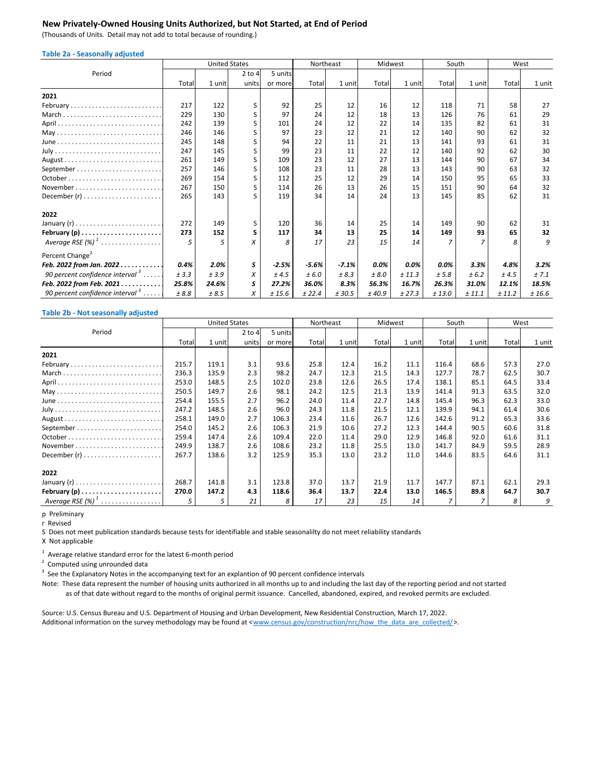### **New Privately‐Owned Housing Units Authorized, but Not Started, at End of Period**

(Thousands of Units. Detail may not add to total because of rounding.)

| <b>Table 2a - Seasonally adjusted</b>       |       |        |                      |         |           |         |         |        |        |                |        |        |
|---------------------------------------------|-------|--------|----------------------|---------|-----------|---------|---------|--------|--------|----------------|--------|--------|
|                                             |       |        | <b>United States</b> |         | Northeast |         | Midwest |        |        | South          | West   |        |
| Period                                      |       |        | $2$ to 4             | 5 units |           |         |         |        |        |                |        |        |
|                                             | Total | 1 unit | units                | or more | Total     | 1 unit  | Total   | 1 unit | Total  | 1 unit         | Total  | 1 unit |
| 2021                                        |       |        |                      |         |           |         |         |        |        |                |        |        |
| February                                    | 217   | 122    | S                    | 92      | 25        | 12      | 16      | 12     | 118    | 71             | 58     | 27     |
|                                             | 229   | 130    | S                    | 97      | 24        | 12      | 18      | 13     | 126    | 76             | 61     | 29     |
|                                             | 242   | 139    | S                    | 101     | 24        | 12      | 22      | 14     | 135    | 82             | 61     | 31     |
|                                             | 246   | 146    |                      | 97      | 23        | 12      | 21      | 12     | 140    | 90             | 62     | 32     |
|                                             | 245   | 148    | S                    | 94      | 22        | 11      | 21      | 13     | 141    | 93             | 61     | 31     |
|                                             | 247   | 145    | S                    | 99      | 23        | 11      | 22      | 12     | 140    | 92             | 62     | 30     |
|                                             | 261   | 149    | S                    | 109     | 23        | 12      | 27      | 13     | 144    | 90             | 67     | 34     |
|                                             | 257   | 146    | $\mathsf{S}$         | 108     | 23        | 11      | 28      | 13     | 143    | 90             | 63     | 32     |
|                                             | 269   | 154    | S                    | 112     | 25        | 12      | 29      | 14     | 150    | 95             | 65     | 33     |
| November                                    | 267   | 150    | S                    | 114     | 26        | 13      | 26      | 15     | 151    | 90             | 64     | 32     |
|                                             | 265   | 143    | ς                    | 119     | 34        | 14      | 24      | 13     | 145    | 85             | 62     | 31     |
| 2022                                        |       |        |                      |         |           |         |         |        |        |                |        |        |
|                                             | 272   | 149    | S                    | 120     | 36        | 14      | 25      | 14     | 149    | 90             | 62     | 31     |
| February $(p)$                              | 273   | 152    | s                    | 117     | 34        | 13      | 25      | 14     | 149    | 93             | 65     | 32     |
| Average RSE $(\%)$ <sup>1</sup>             | 5     | 5      | X                    | 8       | 17        | 23      | 15      | 14     |        | $\overline{7}$ | 8      | 9      |
| Percent Change <sup>2</sup>                 |       |        |                      |         |           |         |         |        |        |                |        |        |
| Feb. 2022 from Jan. 2022                    | 0.4%  | 2.0%   | s                    | $-2.5%$ | $-5.6%$   | $-7.1%$ | 0.0%    | 0.0%   | 0.0%   | 3.3%           | 4.8%   | 3.2%   |
| 90 percent confidence interval $3 \ldots$ . | ± 3.3 | ±3.9   | x                    | ±4.5    | ± 6.0     | ± 8.3   | ± 8.0   | ± 11.3 | ± 5.8  | ± 6.2          | ±4.5   | ± 7.1  |
| Feb. 2022 from Feb. 2021.<br>.              | 25.8% | 24.6%  | S                    | 27.2%   | 36.0%     | 8.3%    | 56.3%   | 16.7%  | 26.3%  | 31.0%          | 12.1%  | 18.5%  |
| 90 percent confidence interval <sup>3</sup> | ±8.8  | ± 8.5  | X                    | ± 15.6  | ± 22.4    | ± 30.5  | ±40.9   | ± 27.3 | ± 13.0 | ± 11.1         | ± 11.2 | ± 16.6 |

#### **Table 2b ‐ Not seasonally adjusted**

|                      |       |        | <b>United States</b> |         |       | Northeast |       | Midwest |       | South  |       | West   |
|----------------------|-------|--------|----------------------|---------|-------|-----------|-------|---------|-------|--------|-------|--------|
| Period               |       |        | $2$ to $4$           | 5 units |       |           |       |         |       |        |       |        |
|                      | Total | 1 unit | units                | or more | Total | 1 unitl   | Total | 1 unitl | Total | 1 unit | Total | 1 unit |
| 2021                 |       |        |                      |         |       |           |       |         |       |        |       |        |
| February             | 215.7 | 119.1  | 3.1                  | 93.6    | 25.8  | 12.4      | 16.2  | 11.1    | 116.4 | 68.6   | 57.3  | 27.0   |
|                      | 236.3 | 135.9  | 2.3                  | 98.2    | 24.7  | 12.3      | 21.5  | 14.3    | 127.7 | 78.7   | 62.5  | 30.7   |
|                      | 253.0 | 148.5  | 2.5                  | 102.0   | 23.8  | 12.6      | 26.5  | 17.4    | 138.1 | 85.1   | 64.5  | 33.4   |
|                      | 250.5 | 149.7  | 2.6                  | 98.1    | 24.2  | 12.5      | 21.3  | 13.9    | 141.4 | 91.3   | 63.5  | 32.0   |
|                      | 254.4 | 155.5  | 2.7                  | 96.2    | 24.0  | 11.4      | 22.7  | 14.8    | 145.4 | 96.3   | 62.3  | 33.0   |
|                      | 247.2 | 148.5  | 2.6                  | 96.0    | 24.3  | 11.8      | 21.5  | 12.1    | 139.9 | 94.1   | 61.4  | 30.6   |
|                      | 258.1 | 149.0  | 2.7                  | 106.3   | 23.4  | 11.6      | 26.7  | 12.6    | 142.6 | 91.2   | 65.3  | 33.6   |
|                      | 254.0 | 145.2  | $2.6\,$              | 106.3   | 21.9  | 10.6      | 27.2  | 12.3    | 144.4 | 90.5   | 60.6  | 31.8   |
|                      | 259.4 | 147.4  | 2.6                  | 109.4   | 22.0  | 11.4      | 29.0  | 12.9    | 146.8 | 92.0   | 61.6  | 31.1   |
|                      | 249.9 | 138.7  | $2.6\,$              | 108.6   | 23.2  | 11.8      | 25.5  | 13.0    | 141.7 | 84.9   | 59.5  | 28.9   |
|                      | 267.7 | 138.6  | 3.2                  | 125.9   | 35.3  | 13.0      | 23.2  | 11.0    | 144.6 | 83.5   | 64.6  | 31.1   |
| 2022                 |       |        |                      |         |       |           |       |         |       |        |       |        |
|                      | 268.7 | 141.8  | 3.1                  | 123.8   | 37.0  | 13.7      | 21.9  | 11.7    | 147.7 | 87.1   | 62.1  | 29.3   |
| February $(p)$       | 270.0 | 147.2  | 4.3                  | 118.6   | 36.4  | 13.7      | 22.4  | 13.0    | 146.5 | 89.8   | 64.7  | 30.7   |
| Average RSE $(\%)^1$ |       | 5      | 21                   | 8       | 17    | 23        | 15    | 14      |       |        | 8     | 9      |

p Preliminary

r Revised

S Does not meet publication standards because tests for identifiable and stable seasonalilty do not meet reliability standards

X Not applicable

 $1$  Average relative standard error for the latest 6-month period

 $2$  Computed using unrounded data

 $3$  See the Explanatory Notes in the accompanying text for an explantion of 90 percent confidence intervals

 as of that date without regard to the months of original permit issuance. Cancelled, abandoned, expired, and revoked permits are excluded. Note: These data represent the number of housing units authorized in all months up to and including the last day of the reporting period and not started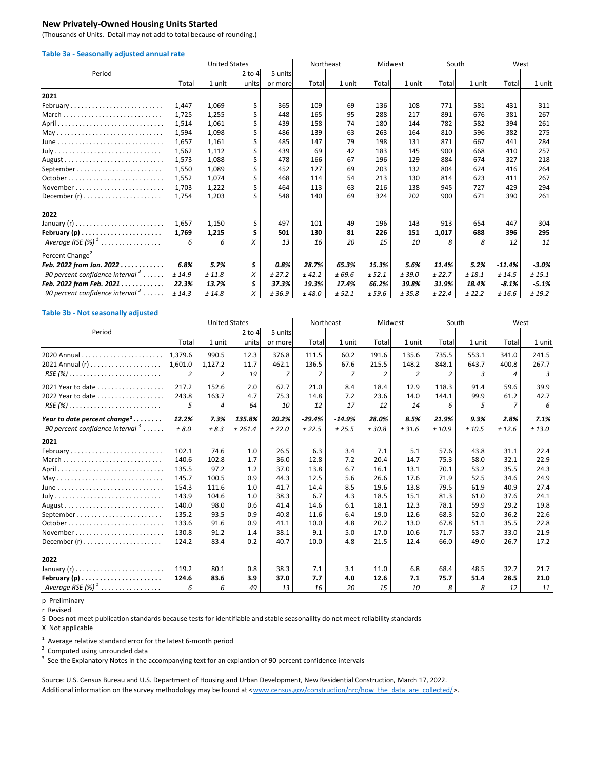### **New Privately‐Owned Housing Units Started**

(Thousands of Units. Detail may not add to total because of rounding.)

| Table 3a - Seasonally adjusted annual rate   |        |                      |             |         |           |        |         |        |        |        |          |         |
|----------------------------------------------|--------|----------------------|-------------|---------|-----------|--------|---------|--------|--------|--------|----------|---------|
|                                              |        | <b>United States</b> |             |         | Northeast |        | Midwest |        | South  |        | West     |         |
| Period                                       |        |                      | $2$ to $4$  | 5 units |           |        |         |        |        |        |          |         |
|                                              | Total  | 1 unit               | units       | or more | Total     | 1 unit | Total   | 1 unit | Total  | 1 unit | Total    | 1 unit  |
| 2021                                         |        |                      |             |         |           |        |         |        |        |        |          |         |
| February                                     | 1,447  | 1,069                | S           | 365     | 109       | 69     | 136     | 108    | 771    | 581    | 431      | 311     |
| March                                        | 1,725  | 1,255                | S           | 448     | 165       | 95     | 288     | 217    | 891    | 676    | 381      | 267     |
|                                              | 1,514  | 1,061                | S           | 439     | 158       | 74     | 180     | 144    | 782    | 582    | 394      | 261     |
|                                              | 1,594  | 1,098                | S           | 486     | 139       | 63     | 263     | 164    | 810    | 596    | 382      | 275     |
|                                              | 1,657  | 1,161                | S           | 485     | 147       | 79     | 198     | 131    | 871    | 667    | 441      | 284     |
|                                              | 1,562  | 1,112                | S           | 439     | 69        | 42     | 183     | 145    | 900    | 668    | 410      | 257     |
|                                              | 1,573  | 1,088                | S           | 478     | 166       | 67     | 196     | 129    | 884    | 674    | 327      | 218     |
| September                                    | 1,550  | 1,089                | S           | 452     | 127       | 69     | 203     | 132    | 804    | 624    | 416      | 264     |
|                                              | 1,552  | 1,074                | S           | 468     | 114       | 54     | 213     | 130    | 814    | 623    | 411      | 267     |
| November                                     | 1,703  | 1,222                | S           | 464     | 113       | 63     | 216     | 138    | 945    | 727    | 429      | 294     |
|                                              | 1,754  | 1,203                | $\varsigma$ | 548     | 140       | 69     | 324     | 202    | 900    | 671    | 390      | 261     |
| 2022                                         |        |                      |             |         |           |        |         |        |        |        |          |         |
|                                              | 1,657  | 1,150                | S           | 497     | 101       | 49     | 196     | 143    | 913    | 654    | 447      | 304     |
| February $(p)$                               | 1,769  | 1,215                | S           | 501     | 130       | 81     | 226     | 151    | 1,017  | 688    | 396      | 295     |
| Average RSE $(\%)^1$                         | 6      | 6                    | X           | 13      | 16        | 20     | 15      | 10     | я      | 8      | 12       | 11      |
| Percent Change <sup>2</sup>                  |        |                      |             |         |           |        |         |        |        |        |          |         |
| Feb. 2022 from Jan. 2022                     | 6.8%   | 5.7%                 | s           | 0.8%    | 28.7%     | 65.3%  | 15.3%   | 5.6%   | 11.4%  | 5.2%   | $-11.4%$ | $-3.0%$ |
| 90 percent confidence interval $3 \ldots$ .  | ± 14.9 | ± 11.8               | X           | ± 27.2  | ± 42.2    | ± 69.6 | ± 52.1  | ± 39.0 | ± 22.7 | ± 18.1 | ± 14.5   | ± 15.1  |
| Feb. 2022 from Feb. 2021.<br>.               | 22.3%  | 13.7%                | s           | 37.3%   | 19.3%     | 17.4%  | 66.2%   | 39.8%  | 31.9%  | 18.4%  | $-8.1%$  | $-5.1%$ |
| 90 percent confidence interval $\frac{3}{2}$ | ± 14.3 | ±14.8                | X           | ±36.9   | ±48.0     | ± 52.1 | ± 59.6  | ± 35.8 | ± 22.4 | ± 22.2 | ± 16.6   | ± 19.2  |

#### **Table 3b ‐ Not seasonally adjusted**

|                                                                         |         | <b>United States</b> |          |         | Northeast |          | Midwest |        | South |        | West                     |        |
|-------------------------------------------------------------------------|---------|----------------------|----------|---------|-----------|----------|---------|--------|-------|--------|--------------------------|--------|
| Period                                                                  |         |                      | $2$ to 4 | 5 units |           |          |         |        |       |        |                          |        |
|                                                                         | Total   | 1 unit               | units    | or more | Total     | 1 unit   | Total   | 1 unit | Total | 1 unit | Total                    | 1 unit |
|                                                                         | 1.379.6 | 990.5                | 12.3     | 376.8   | 111.5     | 60.2     | 191.6   | 135.6  | 735.5 | 553.1  | 341.0                    | 241.5  |
|                                                                         | 1,601.0 | 1,127.2              | 11.7     | 462.1   | 136.5     | 67.6     | 215.5   | 148.2  | 848.1 | 643.7  | 400.8                    | 267.7  |
| $RSE(%) \ldots \ldots \ldots \ldots \ldots \ldots \ldots \ldots \ldots$ | 2       | 2                    | 19       | 7       |           | 7        | 2       | 2      |       | 3      | $\boldsymbol{\varDelta}$ | 3      |
| 2021 Year to date                                                       | 217.2   | 152.6                | 2.0      | 62.7    | 21.0      | 8.4      | 18.4    | 12.9   | 118.3 | 91.4   | 59.6                     | 39.9   |
| 2022 Year to date                                                       | 243.8   | 163.7                | 4.7      | 75.3    | 14.8      | 7.2      | 23.6    | 14.0   | 144.1 | 99.9   | 61.2                     | 42.7   |
| $RSE(%) \ldots \ldots \ldots \ldots \ldots \ldots \ldots \ldots \ldots$ | 5       | 4                    | 64       | 10      | 12        | 17       | 12      | 14     | 6     | 5      | 7                        | 6      |
| Year to date percent change <sup>2</sup>                                | 12.2%   | 7.3%                 | 135.8%   | 20.2%   | $-29.4%$  | $-14.9%$ | 28.0%   | 8.5%   | 21.9% | 9.3%   | 2.8%                     | 7.1%   |
| 90 percent confidence interval $3 \ldots$ .                             | ± 8.0   | ± 8.3                | ± 261.4  | ± 22.0  | ± 22.5    | ± 25.5   | ± 30.8  | ± 31.6 | ±10.9 | ± 10.5 | ± 12.6                   | ±13.0  |
| 2021                                                                    |         |                      |          |         |           |          |         |        |       |        |                          |        |
| February                                                                | 102.1   | 74.6                 | 1.0      | 26.5    | 6.3       | 3.4      | 7.1     | 5.1    | 57.6  | 43.8   | 31.1                     | 22.4   |
|                                                                         | 140.6   | 102.8                | 1.7      | 36.0    | 12.8      | 7.2      | 20.4    | 14.7   | 75.3  | 58.0   | 32.1                     | 22.9   |
|                                                                         | 135.5   | 97.2                 | 1.2      | 37.0    | 13.8      | 6.7      | 16.1    | 13.1   | 70.1  | 53.2   | 35.5                     | 24.3   |
|                                                                         | 145.7   | 100.5                | 0.9      | 44.3    | 12.5      | 5.6      | 26.6    | 17.6   | 71.9  | 52.5   | 34.6                     | 24.9   |
| June                                                                    | 154.3   | 111.6                | 1.0      | 41.7    | 14.4      | 8.5      | 19.6    | 13.8   | 79.5  | 61.9   | 40.9                     | 27.4   |
|                                                                         | 143.9   | 104.6                | 1.0      | 38.3    | 6.7       | 4.3      | 18.5    | 15.1   | 81.3  | 61.0   | 37.6                     | 24.1   |
|                                                                         | 140.0   | 98.0                 | 0.6      | 41.4    | 14.6      | 6.1      | 18.1    | 12.3   | 78.1  | 59.9   | 29.2                     | 19.8   |
|                                                                         | 135.2   | 93.5                 | 0.9      | 40.8    | 11.6      | 6.4      | 19.0    | 12.6   | 68.3  | 52.0   | 36.2                     | 22.6   |
|                                                                         | 133.6   | 91.6                 | 0.9      | 41.1    | 10.0      | 4.8      | 20.2    | 13.0   | 67.8  | 51.1   | 35.5                     | 22.8   |
|                                                                         | 130.8   | 91.2                 | 1.4      | 38.1    | 9.1       | 5.0      | 17.0    | 10.6   | 71.7  | 53.7   | 33.0                     | 21.9   |
|                                                                         | 124.2   | 83.4                 | 0.2      | 40.7    | 10.0      | 4.8      | 21.5    | 12.4   | 66.0  | 49.0   | 26.7                     | 17.2   |
| 2022                                                                    |         |                      |          |         |           |          |         |        |       |        |                          |        |
|                                                                         | 119.2   | 80.1                 | 0.8      | 38.3    | 7.1       | 3.1      | 11.0    | 6.8    | 68.4  | 48.5   | 32.7                     | 21.7   |
| February $(p)$                                                          | 124.6   | 83.6                 | 3.9      | 37.0    | 7.7       | 4.0      | 12.6    | 7.1    | 75.7  | 51.4   | 28.5                     | 21.0   |
|                                                                         | 6       | 6                    | 49       | 13      | 16        | 20       | 15      | 10     | 8     | 8      | 12                       | 11     |

p Preliminary

r Revised

S Does not meet publication standards because tests for identifiable and stable seasonalilty do not meet reliability standards

X Not applicable

 $1$  Average relative standard error for the latest 6-month period

 $2$  Computed using unrounded data

 $3$  See the Explanatory Notes in the accompanying text for an explantion of 90 percent confidence intervals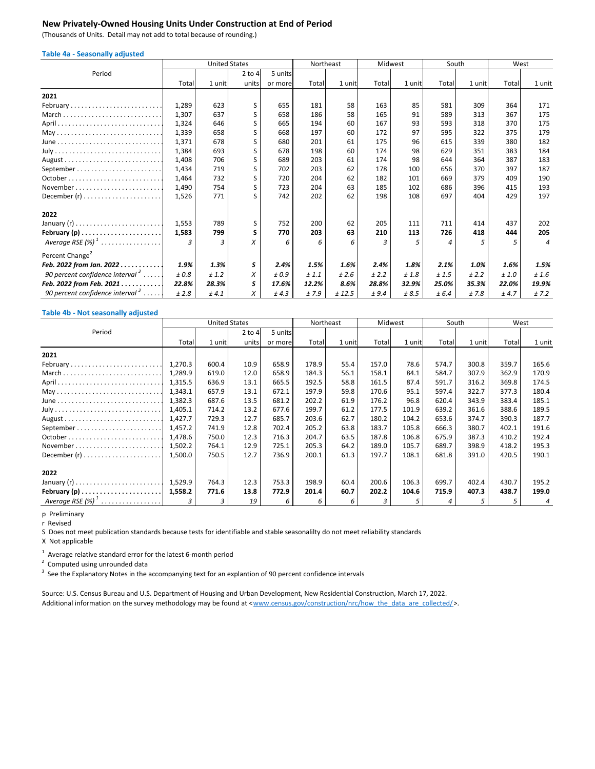### **New Privately‐Owned Housing Units Under Construction at End of Period**

(Thousands of Units. Detail may not add to total because of rounding.)

| <b>Table 4a - Seasonally adjusted</b>       |       |                      |          |         |           |        |         |        |       |        |       |                |
|---------------------------------------------|-------|----------------------|----------|---------|-----------|--------|---------|--------|-------|--------|-------|----------------|
|                                             |       | <b>United States</b> |          |         | Northeast |        | Midwest |        | South |        | West  |                |
| Period                                      |       |                      | $2$ to 4 | 5 units |           |        |         |        |       |        |       |                |
|                                             | Total | 1 unit               | units    | or more | Total     | 1 unit | Total   | 1 unit | Total | 1 unit | Total | 1 unit         |
| 2021                                        |       |                      |          |         |           |        |         |        |       |        |       |                |
| February                                    | 1,289 | 623                  | S        | 655     | 181       | 58     | 163     | 85     | 581   | 309    | 364   | 171            |
| March                                       | 1,307 | 637                  | S        | 658     | 186       | 58     | 165     | 91     | 589   | 313    | 367   | 175            |
|                                             | 1,324 | 646                  | S        | 665     | 194       | 60     | 167     | 93     | 593   | 318    | 370   | 175            |
|                                             | 1,339 | 658                  | S        | 668     | 197       | 60     | 172     | 97     | 595   | 322    | 375   | 179            |
|                                             | 1,371 | 678                  | S        | 680     | 201       | 61     | 175     | 96     | 615   | 339    | 380   | 182            |
|                                             | 1,384 | 693                  | S        | 678     | 198       | 60     | 174     | 98     | 629   | 351    | 383   | 184            |
|                                             | 1,408 | 706                  | S        | 689     | 203       | 61     | 174     | 98     | 644   | 364    | 387   | 183            |
| September                                   | 1,434 | 719                  | S        | 702     | 203       | 62     | 178     | 100    | 656   | 370    | 397   | 187            |
|                                             | 1,464 | 732                  | S        | 720     | 204       | 62     | 182     | 101    | 669   | 379    | 409   | 190            |
| November                                    | 1,490 | 754                  | S        | 723     | 204       | 63     | 185     | 102    | 686   | 396    | 415   | 193            |
|                                             | 1,526 | 771                  | ς        | 742     | 202       | 62     | 198     | 108    | 697   | 404    | 429   | 197            |
| 2022                                        |       |                      |          |         |           |        |         |        |       |        |       |                |
|                                             | 1,553 | 789                  | S        | 752     | 200       | 62     | 205     | 111    | 711   | 414    | 437   | 202            |
| February $(p)$                              | 1,583 | 799                  | S        | 770     | 203       | 63     | 210     | 113    | 726   | 418    | 444   | 205            |
| Average RSE $(\%)^1$                        | 3     | 3                    | x        | 6       | 6         | 6      | 3       | 5      |       | 5      | 5     | $\overline{4}$ |
| Percent Change <sup>2</sup>                 |       |                      |          |         |           |        |         |        |       |        |       |                |
| Feb. 2022 from Jan. 2022.<br>.              | 1.9%  | 1.3%                 | S        | 2.4%    | 1.5%      | 1.6%   | 2.4%    | 1.8%   | 2.1%  | 1.0%   | 1.6%  | 1.5%           |
| 90 percent confidence interval $3 \ldots$ . | ±0.8  | ± 1.2                | X        | ±0.9    | ± 1.1     | ±2.6   | ± 2.2   | ±1.8   | ±1.5  | ± 2.2  | ±1.0  | ±1.6           |
| Feb. 2022 from Feb. 2021.<br>.              | 22.8% | 28.3%                | s        | 17.6%   | 12.2%     | 8.6%   | 28.8%   | 32.9%  | 25.0% | 35.3%  | 22.0% | 19.9%          |
| 90 percent confidence interval $\delta$     | ±2.8  | ± 4.1                | X        | ±4.3    | ±7.9      | ± 12.5 | ± 9.4   | ±8.5   | ± 6.4 | ±7.8   | ± 4.7 | ± 7.2          |

#### **Table 4b ‐ Not seasonally adjusted**

|                      | <b>United States</b> |        |            |         | Northeast |        | Midwest | South  |       |         | West  |                |
|----------------------|----------------------|--------|------------|---------|-----------|--------|---------|--------|-------|---------|-------|----------------|
| Period               |                      |        | $2$ to $4$ | 5 units |           |        |         |        |       |         |       |                |
|                      | Total                | 1 unit | units      | or more | Total     | 1 unit | Total   | 1 unit | Total | 1 unitl | Total | 1 unit         |
| 2021                 |                      |        |            |         |           |        |         |        |       |         |       |                |
| February             | 1,270.3              | 600.4  | 10.9       | 658.9   | 178.9     | 55.4   | 157.0   | 78.6   | 574.7 | 300.8   | 359.7 | 165.6          |
| March                | 1,289.9              | 619.0  | 12.0       | 658.9   | 184.3     | 56.1   | 158.1   | 84.1   | 584.7 | 307.9   | 362.9 | 170.9          |
|                      | 1,315.5              | 636.9  | 13.1       | 665.5   | 192.5     | 58.8   | 161.5   | 87.4   | 591.7 | 316.2   | 369.8 | 174.5          |
|                      | 1,343.1              | 657.9  | 13.1       | 672.1   | 197.9     | 59.8   | 170.6   | 95.1   | 597.4 | 322.7   | 377.3 | 180.4          |
|                      | 1,382.3              | 687.6  | 13.5       | 681.2   | 202.2     | 61.9   | 176.2   | 96.8   | 620.4 | 343.9   | 383.4 | 185.1          |
|                      | 1,405.1              | 714.2  | 13.2       | 677.6   | 199.7     | 61.2   | 177.5   | 101.9  | 639.2 | 361.6   | 388.6 | 189.5          |
|                      | 1,427.7              | 729.3  | 12.7       | 685.7   | 203.6     | 62.7   | 180.2   | 104.2  | 653.6 | 374.7   | 390.3 | 187.7          |
|                      | 1,457.2              | 741.9  | 12.8       | 702.4   | 205.2     | 63.8   | 183.7   | 105.8  | 666.3 | 380.7   | 402.1 | 191.6          |
|                      | 1,478.6              | 750.0  | 12.3       | 716.3   | 204.7     | 63.5   | 187.8   | 106.8  | 675.9 | 387.3   | 410.2 | 192.4          |
|                      | 1,502.2              | 764.1  | 12.9       | 725.1   | 205.3     | 64.2   | 189.0   | 105.7  | 689.7 | 398.9   | 418.2 | 195.3          |
|                      | 1,500.0              | 750.5  | 12.7       | 736.9   | 200.1     | 61.3   | 197.7   | 108.1  | 681.8 | 391.0   | 420.5 | 190.1          |
| 2022                 |                      |        |            |         |           |        |         |        |       |         |       |                |
|                      | 1,529.9              | 764.3  | 12.3       | 753.3   | 198.9     | 60.4   | 200.6   | 106.3  | 699.7 | 402.4   | 430.7 | 195.2          |
| February $(p)$       | 1,558.2              | 771.6  | 13.8       | 772.9   | 201.4     | 60.7   | 202.2   | 104.6  | 715.9 | 407.3   | 438.7 | 199.0          |
| Average RSE $(\%)^1$ |                      | 3      | 19         | 6       | 6         | 6      | 3       |        |       | 5       | 5     | $\overline{4}$ |

p Preliminary

r Revised

S Does not meet publication standards because tests for identifiable and stable seasonalilty do not meet reliability standards

X Not applicable

 $1$  Average relative standard error for the latest 6-month period

 $2$  Computed using unrounded data

 $3$  See the Explanatory Notes in the accompanying text for an explantion of 90 percent confidence intervals